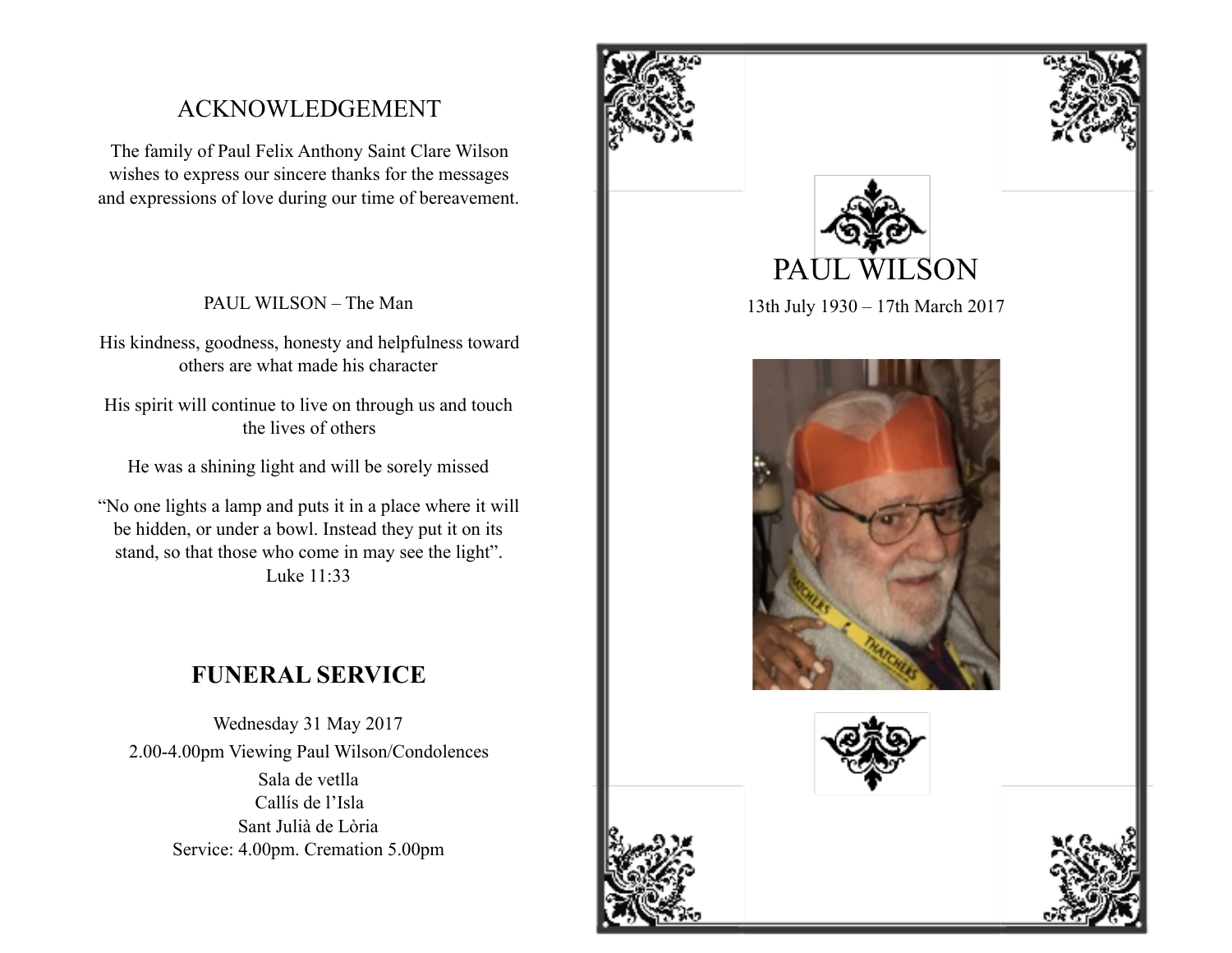## ACKNOWLEDGEMENT

The family of Paul Felix Anthony Saint Clare Wilson wishes to express our sincere thanks for the messages and expressions of love during our time of bereavement.

PAUL WILSON – The Man

His kindness, goodness, honesty and helpfulness toward others are what made his character

His spirit will continue to live on through us and touch the lives of others

He was a shining light and will be sorely missed

"No one lights a lamp and puts it in a place where it will be hidden, or under a bowl. Instead they put it on its stand, so that those who come in may see the light". Luke 11:33

## **FUNERAL SERVICE**

Wednesday 31 May 2017 2.00-4.00pm Viewing Paul Wilson/Condolences Sala de vetlla Callís de l'Isla Sant Julià de Lòria Service: 4.00pm. Cremation 5.00pm







13th July 1930 – 17th March 2017